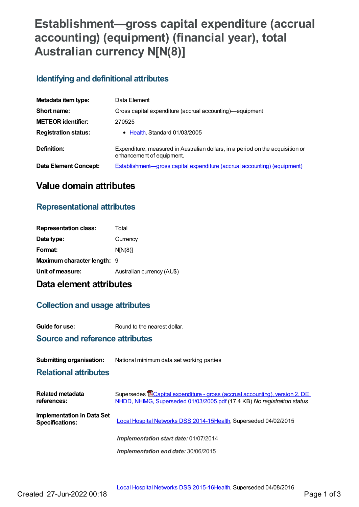# **Establishment—gross capital expenditure (accrual accounting) (equipment) (financial year), total Australian currency N[N(8)]**

## **Identifying and definitional attributes**

| Metadata item type:          | Data Element                                                                                                |  |
|------------------------------|-------------------------------------------------------------------------------------------------------------|--|
| Short name:                  | Gross capital expenditure (accrual accounting)—equipment                                                    |  |
| <b>METEOR identifier:</b>    | 270525                                                                                                      |  |
| <b>Registration status:</b>  | • Health, Standard 01/03/2005                                                                               |  |
| Definition:                  | Expenditure, measured in Australian dollars, in a period on the acquisition or<br>enhancement of equipment. |  |
| <b>Data Element Concept:</b> | <b>Establishment—gross capital expenditure (accrual accounting) (equipment)</b>                             |  |

## **Value domain attributes**

## **Representational attributes**

| <b>Representation class:</b>       | Total                      |
|------------------------------------|----------------------------|
| Data type:                         | Currency                   |
| Format:                            | N[N(8)]                    |
| <b>Maximum character length: 9</b> |                            |
| Unit of measure:                   | Australian currency (AU\$) |

## **Data element attributes**

### **Collection and usage attributes**

**Guide for use:** Round to the nearest dollar.

### **Source and reference attributes**

#### **Submitting organisation:** National minimum data set working parties

#### **Relational attributes**

| Related metadata<br>references:                      | Supersedes <b>E</b> Capital expenditure - gross (accrual accounting), version 2, DE,<br>NHDD, NHIMG, Superseded 01/03/2005.pdf (17.4 KB) No registration status |
|------------------------------------------------------|-----------------------------------------------------------------------------------------------------------------------------------------------------------------|
| Implementation in Data Set<br><b>Specifications:</b> | Local Hospital Networks DSS 2014-15Health, Superseded 04/02/2015                                                                                                |
|                                                      | Implementation start date: 01/07/2014                                                                                                                           |
|                                                      | Implementation end date: 30/06/2015                                                                                                                             |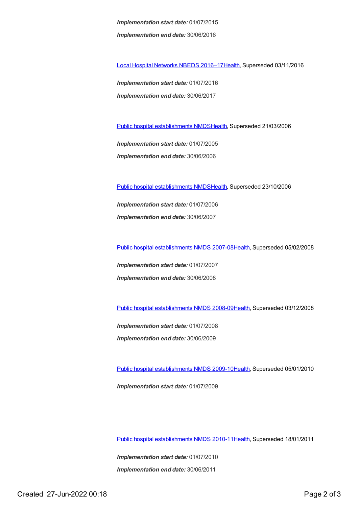*Implementation start date:* 01/07/2015 *Implementation end date:* 30/06/2016

Local Hospital [Networks](https://meteor.aihw.gov.au/content/618892) NBEDS 2016–1[7Health](https://meteor.aihw.gov.au/RegistrationAuthority/12), Superseded 03/11/2016

*Implementation start date:* 01/07/2016 *Implementation end date:* 30/06/2017

Public hospital [establishments](https://meteor.aihw.gov.au/content/273047) NMDS[Health](https://meteor.aihw.gov.au/RegistrationAuthority/12), Superseded 21/03/2006

*Implementation start date:* 01/07/2005 *Implementation end date:* 30/06/2006

Public hospital [establishments](https://meteor.aihw.gov.au/content/334285) NMDS[Health](https://meteor.aihw.gov.au/RegistrationAuthority/12), Superseded 23/10/2006

*Implementation start date:* 01/07/2006 *Implementation end date:* 30/06/2007

Public hospital [establishments](https://meteor.aihw.gov.au/content/345139) NMDS 2007-08[Health](https://meteor.aihw.gov.au/RegistrationAuthority/12), Superseded 05/02/2008

*Implementation start date:* 01/07/2007 *Implementation end date:* 30/06/2008

Public hospital [establishments](https://meteor.aihw.gov.au/content/362302) NMDS 2008-09[Health](https://meteor.aihw.gov.au/RegistrationAuthority/12), Superseded 03/12/2008

*Implementation start date:* 01/07/2008 *Implementation end date:* 30/06/2009

Public hospital [establishments](https://meteor.aihw.gov.au/content/374924) NMDS 2009-10[Health](https://meteor.aihw.gov.au/RegistrationAuthority/12), Superseded 05/01/2010

*Implementation start date:* 01/07/2009

Public hospital [establishments](https://meteor.aihw.gov.au/content/386794) NMDS 2010-11[Health](https://meteor.aihw.gov.au/RegistrationAuthority/12), Superseded 18/01/2011

*Implementation start date:* 01/07/2010 *Implementation end date:* 30/06/2011